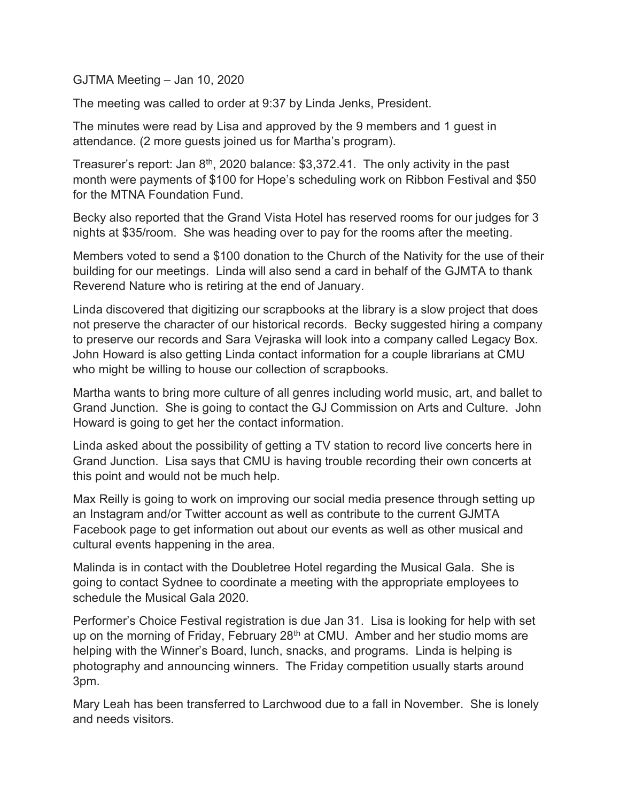GJTMA Meeting – Jan 10, 2020

The meeting was called to order at 9:37 by Linda Jenks, President.

The minutes were read by Lisa and approved by the 9 members and 1 guest in attendance. (2 more guests joined us for Martha's program).

Treasurer's report: Jan  $8<sup>th</sup>$ , 2020 balance: \$3,372.41. The only activity in the past month were payments of \$100 for Hope's scheduling work on Ribbon Festival and \$50 for the MTNA Foundation Fund.

Becky also reported that the Grand Vista Hotel has reserved rooms for our judges for 3 nights at \$35/room. She was heading over to pay for the rooms after the meeting.

Members voted to send a \$100 donation to the Church of the Nativity for the use of their building for our meetings. Linda will also send a card in behalf of the GJMTA to thank Reverend Nature who is retiring at the end of January.

Linda discovered that digitizing our scrapbooks at the library is a slow project that does not preserve the character of our historical records. Becky suggested hiring a company to preserve our records and Sara Vejraska will look into a company called Legacy Box. John Howard is also getting Linda contact information for a couple librarians at CMU who might be willing to house our collection of scrapbooks.

Martha wants to bring more culture of all genres including world music, art, and ballet to Grand Junction. She is going to contact the GJ Commission on Arts and Culture. John Howard is going to get her the contact information.

Linda asked about the possibility of getting a TV station to record live concerts here in Grand Junction. Lisa says that CMU is having trouble recording their own concerts at this point and would not be much help.

Max Reilly is going to work on improving our social media presence through setting up an Instagram and/or Twitter account as well as contribute to the current GJMTA Facebook page to get information out about our events as well as other musical and cultural events happening in the area.

Malinda is in contact with the Doubletree Hotel regarding the Musical Gala. She is going to contact Sydnee to coordinate a meeting with the appropriate employees to schedule the Musical Gala 2020.

Performer's Choice Festival registration is due Jan 31. Lisa is looking for help with set up on the morning of Friday, February  $28<sup>th</sup>$  at CMU. Amber and her studio moms are helping with the Winner's Board, lunch, snacks, and programs. Linda is helping is photography and announcing winners. The Friday competition usually starts around 3pm.

Mary Leah has been transferred to Larchwood due to a fall in November. She is lonely and needs visitors.